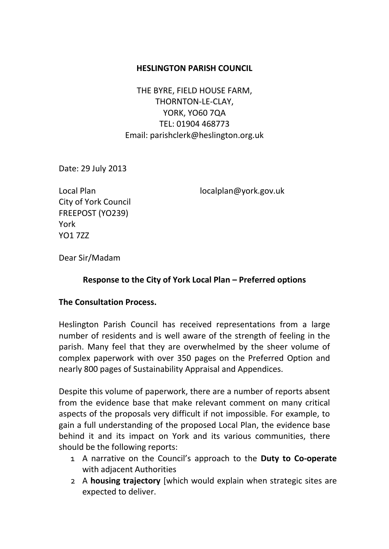#### **HESLINGTON PARISH COUNCIL**

THE BYRE, FIELD HOUSE FARM, THORNTON-LE-CLAY, YORK, YO60 7QA TEL: 01904 468773 Email: parishclerk@heslington.org.uk

Date: 29 July 2013

City of York Council FREEPOST (YO239) York YO1 7ZZ

Local Plan [localplan@york.gov.uk](mailto:localplan@york.gov.uk)

Dear Sir/Madam

#### **Response to the City of York Local Plan – Preferred options**

#### **The Consultation Process.**

Heslington Parish Council has received representations from a large number of residents and is well aware of the strength of feeling in the parish. Many feel that they are overwhelmed by the sheer volume of complex paperwork with over 350 pages on the Preferred Option and nearly 800 pages of Sustainability Appraisal and Appendices.

Despite this volume of paperwork, there are a number of reports absent from the evidence base that make relevant comment on many critical aspects of the proposals very difficult if not impossible. For example, to gain a full understanding of the proposed Local Plan, the evidence base behind it and its impact on York and its various communities, there should be the following reports:

- 1 A narrative on the Council's approach to the **Duty to Co-operate** with adjacent Authorities
- 2 A **housing trajectory** [which would explain when strategic sites are expected to deliver.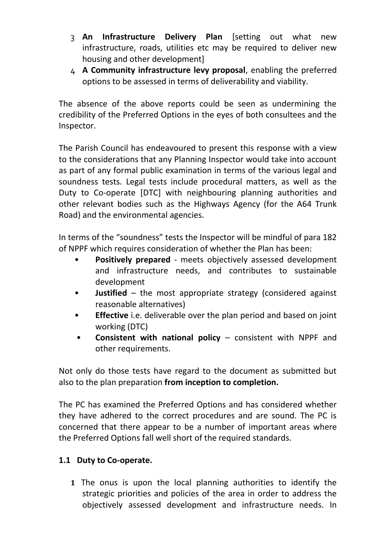- 3 **An Infrastructure Delivery Plan** [setting out what new infrastructure, roads, utilities etc may be required to deliver new housing and other development]
- 4 **A Community infrastructure levy proposal**, enabling the preferred options to be assessed in terms of deliverability and viability.

The absence of the above reports could be seen as undermining the credibility of the Preferred Options in the eyes of both consultees and the Inspector.

The Parish Council has endeavoured to present this response with a view to the considerations that any Planning Inspector would take into account as part of any formal public examination in terms of the various legal and soundness tests. Legal tests include procedural matters, as well as the Duty to Co-operate [DTC] with neighbouring planning authorities and other relevant bodies such as the Highways Agency (for the A64 Trunk Road) and the environmental agencies.

In terms of the "soundness" tests the Inspector will be mindful of para 182 of NPPF which requires consideration of whether the Plan has been:

- **Positively prepared**  meets objectively assessed development and infrastructure needs, and contributes to sustainable development
- **Justified**  the most appropriate strategy (considered against reasonable alternatives)
- **Effective** i.e. deliverable over the plan period and based on joint working (DTC)
- **Consistent with national policy**  consistent with NPPF and other requirements.

Not only do those tests have regard to the document as submitted but also to the plan preparation **from inception to completion.**

The PC has examined the Preferred Options and has considered whether they have adhered to the correct procedures and are sound. The PC is concerned that there appear to be a number of important areas where the Preferred Options fall well short of the required standards.

## **1.1 Duty to Co-operate.**

**1** The onus is upon the local planning authorities to identify the strategic priorities and policies of the area in order to address the objectively assessed development and infrastructure needs. In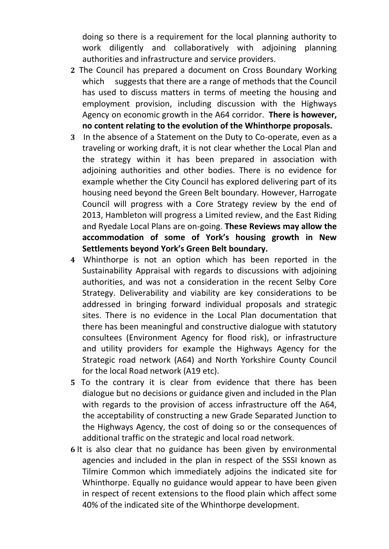doing so there is a requirement for the local planning authority to work diligently and collaboratively with adjoining planning authorities and infrastructure and service providers.

- **2** The Council has prepared a document on Cross Boundary Working which suggests that there are a range of methods that the Council has used to discuss matters in terms of meeting the housing and employment provision, including discussion with the Highways Agency on economic growth in the A64 corridor. **There is however, no content relating to the evolution of the Whinthorpe proposals.**
- **3** In the absence of a Statement on the Duty to Co-operate, even as a traveling or working draft, it is not clear whether the Local Plan and the strategy within it has been prepared in association with adjoining authorities and other bodies. There is no evidence for example whether the City Council has explored delivering part of its housing need beyond the Green Belt boundary. However, Harrogate Council will progress with a Core Strategy review by the end of 2013, Hambleton will progress a Limited review, and the East Riding and Ryedale Local Plans are on-going. **These Reviews may allow the accommodation of some of York's housing growth in New Settlements beyond York's Green Belt boundary.**
- **4** Whinthorpe is not an option which has been reported in the Sustainability Appraisal with regards to discussions with adjoining authorities, and was not a consideration in the recent Selby Core Strategy. Deliverability and viability are key considerations to be addressed in bringing forward individual proposals and strategic sites. There is no evidence in the Local Plan documentation that there has been meaningful and constructive dialogue with statutory consultees (Environment Agency for flood risk), or infrastructure and utility providers for example the Highways Agency for the Strategic road network (A64) and North Yorkshire County Council for the local Road network (A19 etc).
- **5** To the contrary it is clear from evidence that there has been dialogue but no decisions or guidance given and included in the Plan with regards to the provision of access infrastructure off the A64, the acceptability of constructing a new Grade Separated Junction to the Highways Agency, the cost of doing so or the consequences of additional traffic on the strategic and local road network.
- **6** It is also clear that no guidance has been given by environmental agencies and included in the plan in respect of the SSSI known as Tilmire Common which immediately adjoins the indicated site for Whinthorpe. Equally no guidance would appear to have been given in respect of recent extensions to the flood plain which affect some 40% of the indicated site of the Whinthorpe development.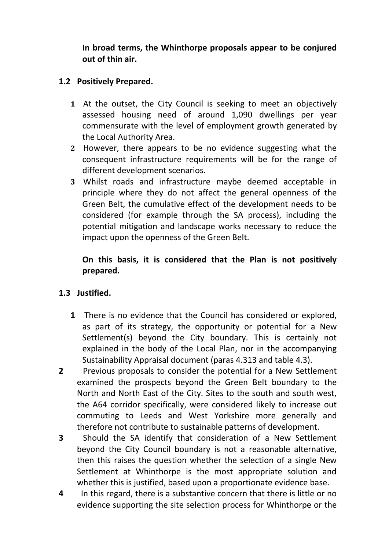**In broad terms, the Whinthorpe proposals appear to be conjured out of thin air.**

### **1.2 Positively Prepared.**

- **1** At the outset, the City Council is seeking to meet an objectively assessed housing need of around 1,090 dwellings per year commensurate with the level of employment growth generated by the Local Authority Area.
- **2** However, there appears to be no evidence suggesting what the consequent infrastructure requirements will be for the range of different development scenarios.
- **3** Whilst roads and infrastructure maybe deemed acceptable in principle where they do not affect the general openness of the Green Belt, the cumulative effect of the development needs to be considered (for example through the SA process), including the potential mitigation and landscape works necessary to reduce the impact upon the openness of the Green Belt.

## **On this basis, it is considered that the Plan is not positively prepared.**

## **1.3 Justified.**

- **1** There is no evidence that the Council has considered or explored, as part of its strategy, the opportunity or potential for a New Settlement(s) beyond the City boundary. This is certainly not explained in the body of the Local Plan, nor in the accompanying Sustainability Appraisal document (paras 4.313 and table 4.3).
- **2** Previous proposals to consider the potential for a New Settlement examined the prospects beyond the Green Belt boundary to the North and North East of the City. Sites to the south and south west, the A64 corridor specifically, were considered likely to increase out commuting to Leeds and West Yorkshire more generally and therefore not contribute to sustainable patterns of development.
- **3** Should the SA identify that consideration of a New Settlement beyond the City Council boundary is not a reasonable alternative, then this raises the question whether the selection of a single New Settlement at Whinthorpe is the most appropriate solution and whether this is justified, based upon a proportionate evidence base.
- **4** In this regard, there is a substantive concern that there is little or no evidence supporting the site selection process for Whinthorpe or the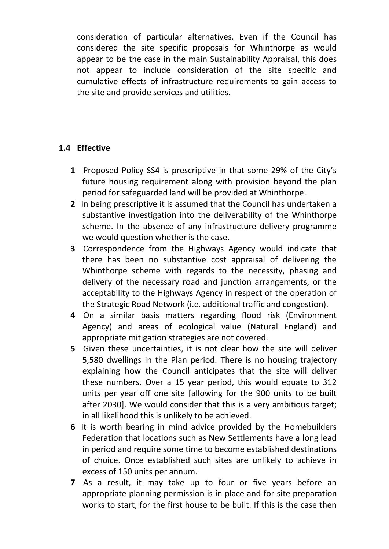consideration of particular alternatives. Even if the Council has considered the site specific proposals for Whinthorpe as would appear to be the case in the main Sustainability Appraisal, this does not appear to include consideration of the site specific and cumulative effects of infrastructure requirements to gain access to the site and provide services and utilities.

# **1.4 Effective**

- **1** Proposed Policy SS4 is prescriptive in that some 29% of the City's future housing requirement along with provision beyond the plan period for safeguarded land will be provided at Whinthorpe.
- **2** In being prescriptive it is assumed that the Council has undertaken a substantive investigation into the deliverability of the Whinthorpe scheme. In the absence of any infrastructure delivery programme we would question whether is the case.
- **3** Correspondence from the Highways Agency would indicate that there has been no substantive cost appraisal of delivering the Whinthorpe scheme with regards to the necessity, phasing and delivery of the necessary road and junction arrangements, or the acceptability to the Highways Agency in respect of the operation of the Strategic Road Network (i.e. additional traffic and congestion).
- **4** On a similar basis matters regarding flood risk (Environment Agency) and areas of ecological value (Natural England) and appropriate mitigation strategies are not covered.
- **5** Given these uncertainties, it is not clear how the site will deliver 5,580 dwellings in the Plan period. There is no housing trajectory explaining how the Council anticipates that the site will deliver these numbers. Over a 15 year period, this would equate to 312 units per year off one site [allowing for the 900 units to be built after 2030]. We would consider that this is a very ambitious target; in all likelihood this is unlikely to be achieved.
- **6** It is worth bearing in mind advice provided by the Homebuilders Federation that locations such as New Settlements have a long lead in period and require some time to become established destinations of choice. Once established such sites are unlikely to achieve in excess of 150 units per annum.
- **7** As a result, it may take up to four or five years before an appropriate planning permission is in place and for site preparation works to start, for the first house to be built. If this is the case then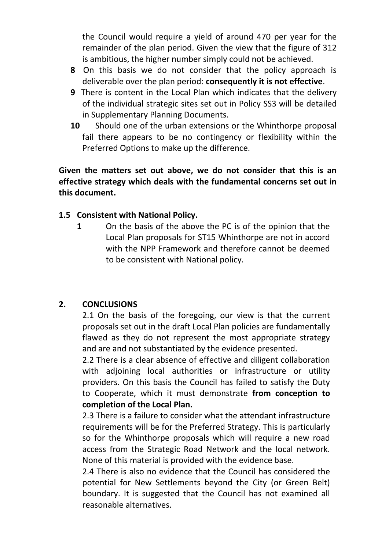the Council would require a yield of around 470 per year for the remainder of the plan period. Given the view that the figure of 312 is ambitious, the higher number simply could not be achieved.

- **8** On this basis we do not consider that the policy approach is deliverable over the plan period: **consequently it is not effective**.
- **9** There is content in the Local Plan which indicates that the delivery of the individual strategic sites set out in Policy SS3 will be detailed in Supplementary Planning Documents.
- **10** Should one of the urban extensions or the Whinthorpe proposal fail there appears to be no contingency or flexibility within the Preferred Options to make up the difference.

**Given the matters set out above, we do not consider that this is an effective strategy which deals with the fundamental concerns set out in this document.**

### **1.5 Consistent with National Policy.**

**1** On the basis of the above the PC is of the opinion that the Local Plan proposals for ST15 Whinthorpe are not in accord with the NPP Framework and therefore cannot be deemed to be consistent with National policy.

## **2. CONCLUSIONS**

2.1 On the basis of the foregoing, our view is that the current proposals set out in the draft Local Plan policies are fundamentally flawed as they do not represent the most appropriate strategy and are and not substantiated by the evidence presented.

2.2 There is a clear absence of effective and diligent collaboration with adjoining local authorities or infrastructure or utility providers. On this basis the Council has failed to satisfy the Duty to Cooperate, which it must demonstrate **from conception to completion of the Local Plan.**

2.3 There is a failure to consider what the attendant infrastructure requirements will be for the Preferred Strategy. This is particularly so for the Whinthorpe proposals which will require a new road access from the Strategic Road Network and the local network. None of this material is provided with the evidence base.

2.4 There is also no evidence that the Council has considered the potential for New Settlements beyond the City (or Green Belt) boundary. It is suggested that the Council has not examined all reasonable alternatives.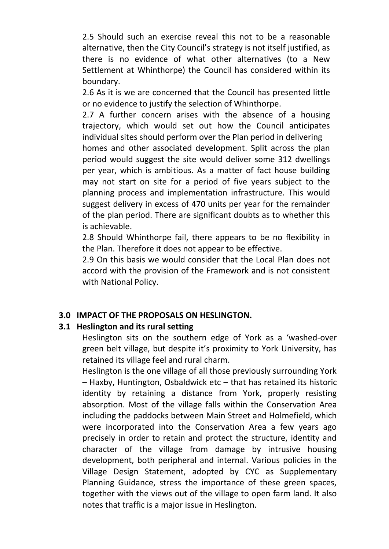2.5 Should such an exercise reveal this not to be a reasonable alternative, then the City Council's strategy is not itself justified, as there is no evidence of what other alternatives (to a New Settlement at Whinthorpe) the Council has considered within its boundary.

2.6 As it is we are concerned that the Council has presented little or no evidence to justify the selection of Whinthorpe.

2.7 A further concern arises with the absence of a housing trajectory, which would set out how the Council anticipates individual sites should perform over the Plan period in delivering

homes and other associated development. Split across the plan period would suggest the site would deliver some 312 dwellings per year, which is ambitious. As a matter of fact house building may not start on site for a period of five years subject to the planning process and implementation infrastructure. This would suggest delivery in excess of 470 units per year for the remainder of the plan period. There are significant doubts as to whether this is achievable.

2.8 Should Whinthorpe fail, there appears to be no flexibility in the Plan. Therefore it does not appear to be effective.

2.9 On this basis we would consider that the Local Plan does not accord with the provision of the Framework and is not consistent with National Policy.

#### **3.0 IMPACT OF THE PROPOSALS ON HESLINGTON.**

#### **3.1 Heslington and its rural setting**

Heslington sits on the southern edge of York as a 'washed-over green belt village, but despite it's proximity to York University, has retained its village feel and rural charm.

Heslington is the one village of all those previously surrounding York – Haxby, Huntington, Osbaldwick etc – that has retained its historic identity by retaining a distance from York, properly resisting absorption. Most of the village falls within the Conservation Area including the paddocks between Main Street and Holmefield, which were incorporated into the Conservation Area a few years ago precisely in order to retain and protect the structure, identity and character of the village from damage by intrusive housing development, both peripheral and internal. Various policies in the Village Design Statement, adopted by CYC as Supplementary Planning Guidance, stress the importance of these green spaces, together with the views out of the village to open farm land. It also notes that traffic is a major issue in Heslington.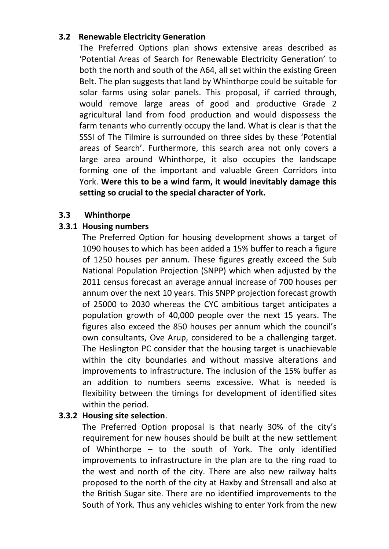#### **3.2 Renewable Electricity Generation**

The Preferred Options plan shows extensive areas described as 'Potential Areas of Search for Renewable Electricity Generation' to both the north and south of the A64, all set within the existing Green Belt. The plan suggests that land by Whinthorpe could be suitable for solar farms using solar panels. This proposal, if carried through, would remove large areas of good and productive Grade 2 agricultural land from food production and would dispossess the farm tenants who currently occupy the land. What is clear is that the SSSI of The Tilmire is surrounded on three sides by these 'Potential areas of Search'. Furthermore, this search area not only covers a large area around Whinthorpe, it also occupies the landscape forming one of the important and valuable Green Corridors into York. **Were this to be a wind farm, it would inevitably damage this setting so crucial to the special character of York.**

### **3.3 Whinthorpe**

## **3.3.1 Housing numbers**

The Preferred Option for housing development shows a target of 1090 houses to which has been added a 15% buffer to reach a figure of 1250 houses per annum. These figures greatly exceed the Sub National Population Projection (SNPP) which when adjusted by the 2011 census forecast an average annual increase of 700 houses per annum over the next 10 years. This SNPP projection forecast growth of 25000 to 2030 whereas the CYC ambitious target anticipates a population growth of 40,000 people over the next 15 years. The figures also exceed the 850 houses per annum which the council's own consultants, Ove Arup, considered to be a challenging target. The Heslington PC consider that the housing target is unachievable within the city boundaries and without massive alterations and improvements to infrastructure. The inclusion of the 15% buffer as an addition to numbers seems excessive. What is needed is flexibility between the timings for development of identified sites within the period.

## **3.3.2 Housing site selection**.

The Preferred Option proposal is that nearly 30% of the city's requirement for new houses should be built at the new settlement of Whinthorpe – to the south of York. The only identified improvements to infrastructure in the plan are to the ring road to the west and north of the city. There are also new railway halts proposed to the north of the city at Haxby and Strensall and also at the British Sugar site. There are no identified improvements to the South of York. Thus any vehicles wishing to enter York from the new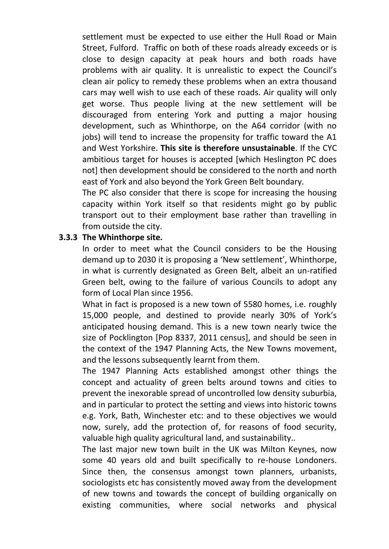settlement must be expected to use either the Hull Road or Main Street, Fulford. Traffic on both of these roads already exceeds or is close to design capacity at peak hours and both roads have problems with air quality. It is unrealistic to expect the Council's clean air policy to remedy these problems when an extra thousand cars may well wish to use each of these roads. Air quality will only get worse. Thus people living at the new settlement will be discouraged from entering York and putting a major housing development, such as Whinthorpe, on the A64 corridor (with no jobs) will tend to increase the propensity for traffic toward the A1 and West Yorkshire. **This site is therefore unsustainable**. If the CYC ambitious target for houses is accepted [which Heslington PC does not] then development should be considered to the north and north east of York and also beyond the York Green Belt boundary.

The PC also consider that there is scope for increasing the housing capacity within York itself so that residents might go by public transport out to their employment base rather than travelling in from outside the city.

#### **3.3.3 The Whinthorpe site.**

In order to meet what the Council considers to be the Housing demand up to 2030 it is proposing a 'New settlement', Whinthorpe, in what is currently designated as Green Belt, albeit an un-ratified Green belt, owing to the failure of various Councils to adopt any form of Local Plan since 1956.

What in fact is proposed is a new town of 5580 homes, i.e. roughly 15,000 people, and destined to provide nearly 30% of York's anticipated housing demand. This is a new town nearly twice the size of Pocklington [Pop 8337, 2011 census], and should be seen in the context of the 1947 Planning Acts, the New Towns movement, and the lessons subsequently learnt from them.

The 1947 Planning Acts established amongst other things the concept and actuality of green belts around towns and cities to prevent the inexorable spread of uncontrolled low density suburbia, and in particular to protect the setting and views into historic towns e.g. York, Bath, Winchester etc: and to these objectives we would now, surely, add the protection of, for reasons of food security, valuable high quality agricultural land, and sustainability..

The last major new town built in the UK was Milton Keynes, now some 40 years old and built specifically to re-house Londoners. Since then, the consensus amongst town planners, urbanists, sociologists etc has consistently moved away from the development of new towns and towards the concept of building organically on existing communities, where social networks and physical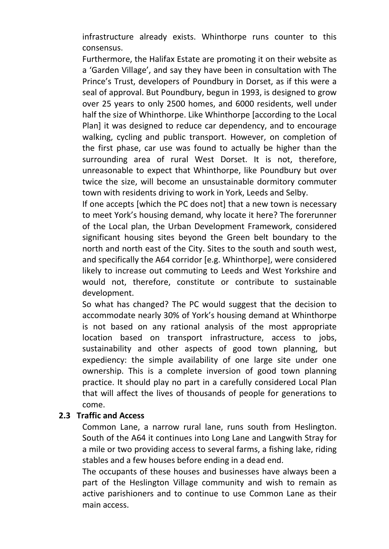infrastructure already exists. Whinthorpe runs counter to this consensus.

Furthermore, the Halifax Estate are promoting it on their website as a 'Garden Village', and say they have been in consultation with The Prince's Trust, developers of Poundbury in Dorset, as if this were a seal of approval. But Poundbury, begun in 1993, is designed to grow over 25 years to only 2500 homes, and 6000 residents, well under half the size of Whinthorpe. Like Whinthorpe [according to the Local Plan] it was designed to reduce car dependency, and to encourage walking, cycling and public transport. However, on completion of the first phase, car use was found to actually be higher than the surrounding area of rural West Dorset. It is not, therefore, unreasonable to expect that Whinthorpe, like Poundbury but over twice the size, will become an unsustainable dormitory commuter town with residents driving to work in York, Leeds and Selby.

If one accepts [which the PC does not] that a new town is necessary to meet York's housing demand, why locate it here? The forerunner of the Local plan, the Urban Development Framework, considered significant housing sites beyond the Green belt boundary to the north and north east of the City. Sites to the south and south west, and specifically the A64 corridor [e.g. Whinthorpe], were considered likely to increase out commuting to Leeds and West Yorkshire and would not, therefore, constitute or contribute to sustainable development.

So what has changed? The PC would suggest that the decision to accommodate nearly 30% of York's housing demand at Whinthorpe is not based on any rational analysis of the most appropriate location based on transport infrastructure, access to jobs, sustainability and other aspects of good town planning, but expediency: the simple availability of one large site under one ownership. This is a complete inversion of good town planning practice. It should play no part in a carefully considered Local Plan that will affect the lives of thousands of people for generations to come.

#### **2.3 Traffic and Access**

Common Lane, a narrow rural lane, runs south from Heslington. South of the A64 it continues into Long Lane and Langwith Stray for a mile or two providing access to several farms, a fishing lake, riding stables and a few houses before ending in a dead end.

The occupants of these houses and businesses have always been a part of the Heslington Village community and wish to remain as active parishioners and to continue to use Common Lane as their main access.